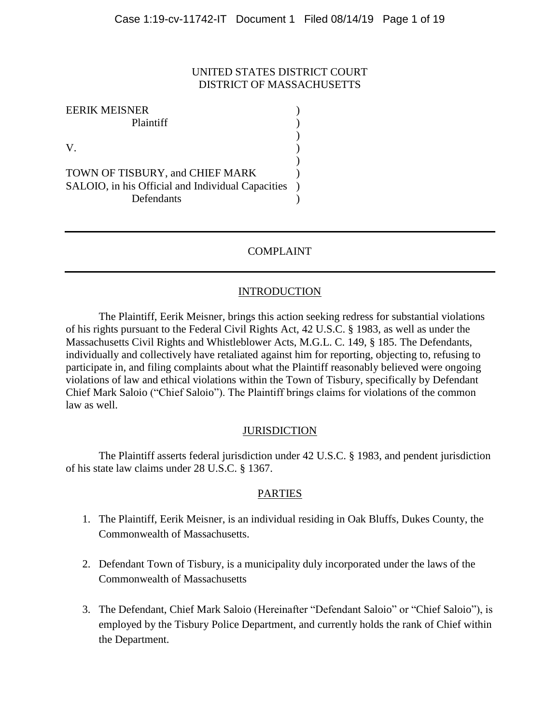### UNITED STATES DISTRICT COURT DISTRICT OF MASSACHUSETTS

)

)

EERIK MEISNER ) Plaintiff (b)  $V.$  ) TOWN OF TISBURY, and CHIEF MARK ) SALOIO, in his Official and Individual Capacities ) Defendants )

# COMPLAINT

# **INTRODUCTION**

The Plaintiff, Eerik Meisner, brings this action seeking redress for substantial violations of his rights pursuant to the Federal Civil Rights Act, 42 U.S.C. § 1983, as well as under the Massachusetts Civil Rights and Whistleblower Acts, M.G.L. C. 149, § 185. The Defendants, individually and collectively have retaliated against him for reporting, objecting to, refusing to participate in, and filing complaints about what the Plaintiff reasonably believed were ongoing violations of law and ethical violations within the Town of Tisbury, specifically by Defendant Chief Mark Saloio ("Chief Saloio"). The Plaintiff brings claims for violations of the common law as well.

#### **JURISDICTION**

The Plaintiff asserts federal jurisdiction under 42 U.S.C. § 1983, and pendent jurisdiction of his state law claims under 28 U.S.C. § 1367.

#### PARTIES

- 1. The Plaintiff, Eerik Meisner, is an individual residing in Oak Bluffs, Dukes County, the Commonwealth of Massachusetts.
- 2. Defendant Town of Tisbury, is a municipality duly incorporated under the laws of the Commonwealth of Massachusetts
- 3. The Defendant, Chief Mark Saloio (Hereinafter "Defendant Saloio" or "Chief Saloio"), is employed by the Tisbury Police Department, and currently holds the rank of Chief within the Department.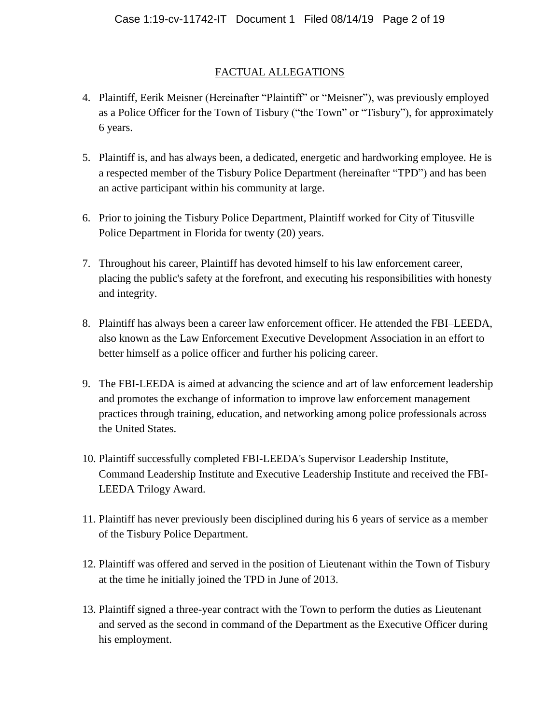### FACTUAL ALLEGATIONS

- 4. Plaintiff, Eerik Meisner (Hereinafter "Plaintiff" or "Meisner"), was previously employed as a Police Officer for the Town of Tisbury ("the Town" or "Tisbury"), for approximately 6 years.
- 5. Plaintiff is, and has always been, a dedicated, energetic and hardworking employee. He is a respected member of the Tisbury Police Department (hereinafter "TPD") and has been an active participant within his community at large.
- 6. Prior to joining the Tisbury Police Department, Plaintiff worked for City of Titusville Police Department in Florida for twenty (20) years.
- 7. Throughout his career, Plaintiff has devoted himself to his law enforcement career, placing the public's safety at the forefront, and executing his responsibilities with honesty and integrity.
- 8. Plaintiff has always been a career law enforcement officer. He attended the FBI–LEEDA, also known as the Law Enforcement Executive Development Association in an effort to better himself as a police officer and further his policing career.
- 9. The FBI-LEEDA is aimed at advancing the science and art of law enforcement leadership and promotes the exchange of information to improve law enforcement management practices through training, education, and networking among police professionals across the United States.
- 10. Plaintiff successfully completed FBI-LEEDA's Supervisor Leadership Institute, Command Leadership Institute and Executive Leadership Institute and received the FBI-LEEDA Trilogy Award.
- 11. Plaintiff has never previously been disciplined during his 6 years of service as a member of the Tisbury Police Department.
- 12. Plaintiff was offered and served in the position of Lieutenant within the Town of Tisbury at the time he initially joined the TPD in June of 2013.
- 13. Plaintiff signed a three-year contract with the Town to perform the duties as Lieutenant and served as the second in command of the Department as the Executive Officer during his employment.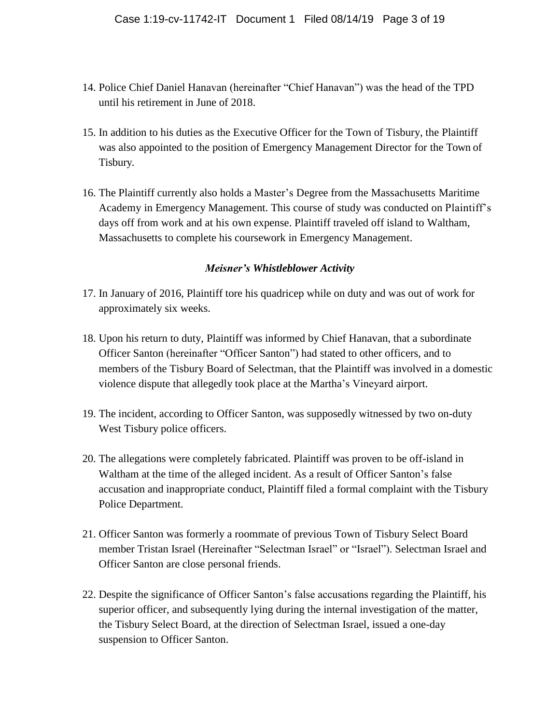- 14. Police Chief Daniel Hanavan (hereinafter "Chief Hanavan") was the head of the TPD until his retirement in June of 2018.
- 15. In addition to his duties as the Executive Officer for the Town of Tisbury, the Plaintiff was also appointed to the position of Emergency Management Director for the Town of Tisbury.
- 16. The Plaintiff currently also holds a Master's Degree from the Massachusetts Maritime Academy in Emergency Management. This course of study was conducted on Plaintiff's days off from work and at his own expense. Plaintiff traveled off island to Waltham, Massachusetts to complete his coursework in Emergency Management.

#### *Meisner's Whistleblower Activity*

- 17. In January of 2016, Plaintiff tore his quadricep while on duty and was out of work for approximately six weeks.
- 18. Upon his return to duty, Plaintiff was informed by Chief Hanavan, that a subordinate Officer Santon (hereinafter "Officer Santon") had stated to other officers, and to members of the Tisbury Board of Selectman, that the Plaintiff was involved in a domestic violence dispute that allegedly took place at the Martha's Vineyard airport.
- 19. The incident, according to Officer Santon, was supposedly witnessed by two on-duty West Tisbury police officers.
- 20. The allegations were completely fabricated. Plaintiff was proven to be off-island in Waltham at the time of the alleged incident. As a result of Officer Santon's false accusation and inappropriate conduct, Plaintiff filed a formal complaint with the Tisbury Police Department.
- 21. Officer Santon was formerly a roommate of previous Town of Tisbury Select Board member Tristan Israel (Hereinafter "Selectman Israel" or "Israel"). Selectman Israel and Officer Santon are close personal friends.
- 22. Despite the significance of Officer Santon's false accusations regarding the Plaintiff, his superior officer, and subsequently lying during the internal investigation of the matter, the Tisbury Select Board, at the direction of Selectman Israel, issued a one-day suspension to Officer Santon.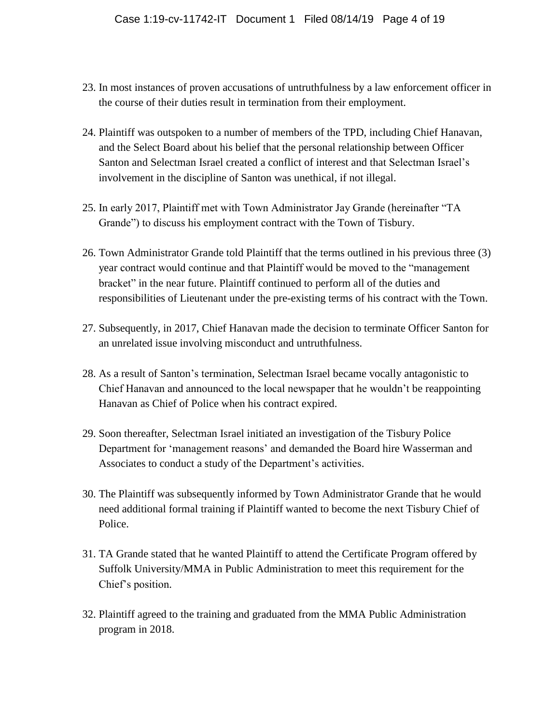- 23. In most instances of proven accusations of untruthfulness by a law enforcement officer in the course of their duties result in termination from their employment.
- 24. Plaintiff was outspoken to a number of members of the TPD, including Chief Hanavan, and the Select Board about his belief that the personal relationship between Officer Santon and Selectman Israel created a conflict of interest and that Selectman Israel's involvement in the discipline of Santon was unethical, if not illegal.
- 25. In early 2017, Plaintiff met with Town Administrator Jay Grande (hereinafter "TA Grande") to discuss his employment contract with the Town of Tisbury.
- 26. Town Administrator Grande told Plaintiff that the terms outlined in his previous three (3) year contract would continue and that Plaintiff would be moved to the "management bracket" in the near future. Plaintiff continued to perform all of the duties and responsibilities of Lieutenant under the pre-existing terms of his contract with the Town.
- 27. Subsequently, in 2017, Chief Hanavan made the decision to terminate Officer Santon for an unrelated issue involving misconduct and untruthfulness.
- 28. As a result of Santon's termination, Selectman Israel became vocally antagonistic to Chief Hanavan and announced to the local newspaper that he wouldn't be reappointing Hanavan as Chief of Police when his contract expired.
- 29. Soon thereafter, Selectman Israel initiated an investigation of the Tisbury Police Department for 'management reasons' and demanded the Board hire Wasserman and Associates to conduct a study of the Department's activities.
- 30. The Plaintiff was subsequently informed by Town Administrator Grande that he would need additional formal training if Plaintiff wanted to become the next Tisbury Chief of Police.
- 31. TA Grande stated that he wanted Plaintiff to attend the Certificate Program offered by Suffolk University/MMA in Public Administration to meet this requirement for the Chief's position.
- 32. Plaintiff agreed to the training and graduated from the MMA Public Administration program in 2018.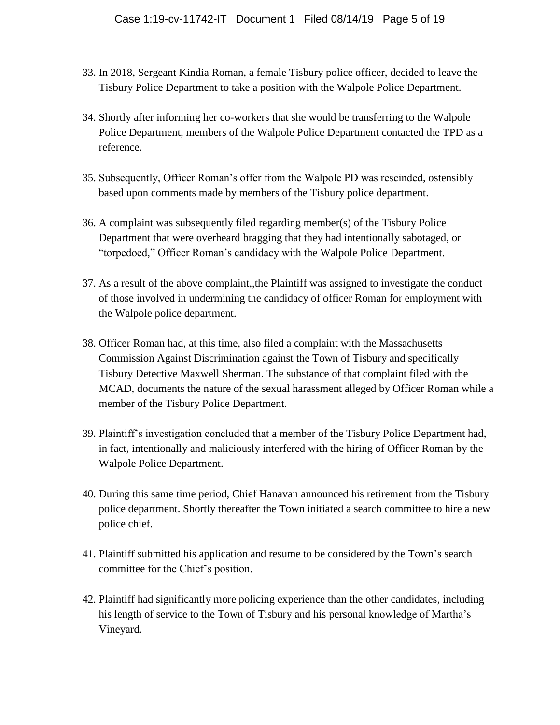- 33. In 2018, Sergeant Kindia Roman, a female Tisbury police officer, decided to leave the Tisbury Police Department to take a position with the Walpole Police Department.
- 34. Shortly after informing her co-workers that she would be transferring to the Walpole Police Department, members of the Walpole Police Department contacted the TPD as a reference.
- 35. Subsequently, Officer Roman's offer from the Walpole PD was rescinded, ostensibly based upon comments made by members of the Tisbury police department.
- 36. A complaint was subsequently filed regarding member(s) of the Tisbury Police Department that were overheard bragging that they had intentionally sabotaged, or "torpedoed," Officer Roman's candidacy with the Walpole Police Department.
- 37. As a result of the above complaint,,the Plaintiff was assigned to investigate the conduct of those involved in undermining the candidacy of officer Roman for employment with the Walpole police department.
- 38. Officer Roman had, at this time, also filed a complaint with the Massachusetts Commission Against Discrimination against the Town of Tisbury and specifically Tisbury Detective Maxwell Sherman. The substance of that complaint filed with the MCAD, documents the nature of the sexual harassment alleged by Officer Roman while a member of the Tisbury Police Department.
- 39. Plaintiff's investigation concluded that a member of the Tisbury Police Department had, in fact, intentionally and maliciously interfered with the hiring of Officer Roman by the Walpole Police Department.
- 40. During this same time period, Chief Hanavan announced his retirement from the Tisbury police department. Shortly thereafter the Town initiated a search committee to hire a new police chief.
- 41. Plaintiff submitted his application and resume to be considered by the Town's search committee for the Chief's position.
- 42. Plaintiff had significantly more policing experience than the other candidates, including his length of service to the Town of Tisbury and his personal knowledge of Martha's Vineyard.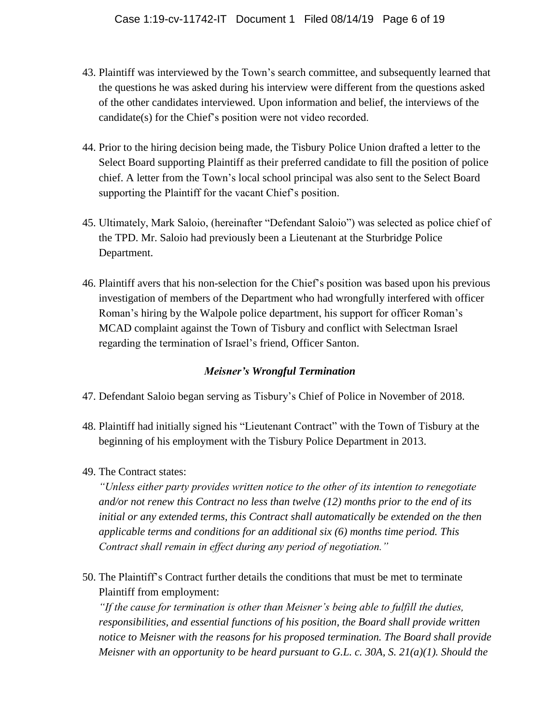- 43. Plaintiff was interviewed by the Town's search committee, and subsequently learned that the questions he was asked during his interview were different from the questions asked of the other candidates interviewed. Upon information and belief, the interviews of the candidate(s) for the Chief's position were not video recorded.
- 44. Prior to the hiring decision being made, the Tisbury Police Union drafted a letter to the Select Board supporting Plaintiff as their preferred candidate to fill the position of police chief. A letter from the Town's local school principal was also sent to the Select Board supporting the Plaintiff for the vacant Chief's position.
- 45. Ultimately, Mark Saloio, (hereinafter "Defendant Saloio") was selected as police chief of the TPD. Mr. Saloio had previously been a Lieutenant at the Sturbridge Police Department.
- 46. Plaintiff avers that his non-selection for the Chief's position was based upon his previous investigation of members of the Department who had wrongfully interfered with officer Roman's hiring by the Walpole police department, his support for officer Roman's MCAD complaint against the Town of Tisbury and conflict with Selectman Israel regarding the termination of Israel's friend, Officer Santon.

# *Meisner's Wrongful Termination*

- 47. Defendant Saloio began serving as Tisbury's Chief of Police in November of 2018.
- 48. Plaintiff had initially signed his "Lieutenant Contract" with the Town of Tisbury at the beginning of his employment with the Tisbury Police Department in 2013.
- 49. The Contract states:

*"Unless either party provides written notice to the other of its intention to renegotiate and/or not renew this Contract no less than twelve (12) months prior to the end of its initial or any extended terms, this Contract shall automatically be extended on the then applicable terms and conditions for an additional six (6) months time period. This Contract shall remain in effect during any period of negotiation."* 

50. The Plaintiff's Contract further details the conditions that must be met to terminate Plaintiff from employment:

*"If the cause for termination is other than Meisner's being able to fulfill the duties, responsibilities, and essential functions of his position, the Board shall provide written notice to Meisner with the reasons for his proposed termination. The Board shall provide Meisner with an opportunity to be heard pursuant to G.L. c. 30A, S. 21(a)(1). Should the*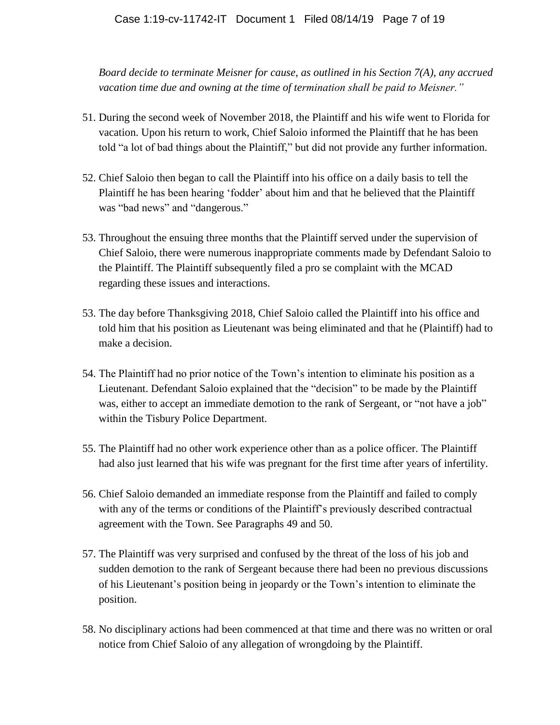*Board decide to terminate Meisner for cause, as outlined in his Section 7(A), any accrued vacation time due and owning at the time of termination shall be paid to Meisner."*

- 51. During the second week of November 2018, the Plaintiff and his wife went to Florida for vacation. Upon his return to work, Chief Saloio informed the Plaintiff that he has been told "a lot of bad things about the Plaintiff," but did not provide any further information.
- 52. Chief Saloio then began to call the Plaintiff into his office on a daily basis to tell the Plaintiff he has been hearing 'fodder' about him and that he believed that the Plaintiff was "bad news" and "dangerous."
- 53. Throughout the ensuing three months that the Plaintiff served under the supervision of Chief Saloio, there were numerous inappropriate comments made by Defendant Saloio to the Plaintiff. The Plaintiff subsequently filed a pro se complaint with the MCAD regarding these issues and interactions.
- 53. The day before Thanksgiving 2018, Chief Saloio called the Plaintiff into his office and told him that his position as Lieutenant was being eliminated and that he (Plaintiff) had to make a decision.
- 54. The Plaintiff had no prior notice of the Town's intention to eliminate his position as a Lieutenant. Defendant Saloio explained that the "decision" to be made by the Plaintiff was, either to accept an immediate demotion to the rank of Sergeant, or "not have a job" within the Tisbury Police Department.
- 55. The Plaintiff had no other work experience other than as a police officer. The Plaintiff had also just learned that his wife was pregnant for the first time after years of infertility.
- 56. Chief Saloio demanded an immediate response from the Plaintiff and failed to comply with any of the terms or conditions of the Plaintiff's previously described contractual agreement with the Town. See Paragraphs 49 and 50.
- 57. The Plaintiff was very surprised and confused by the threat of the loss of his job and sudden demotion to the rank of Sergeant because there had been no previous discussions of his Lieutenant's position being in jeopardy or the Town's intention to eliminate the position.
- 58. No disciplinary actions had been commenced at that time and there was no written or oral notice from Chief Saloio of any allegation of wrongdoing by the Plaintiff.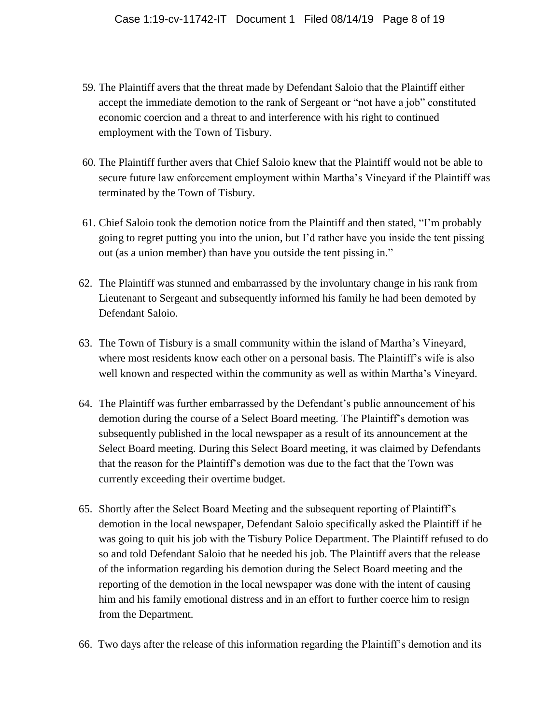- 59. The Plaintiff avers that the threat made by Defendant Saloio that the Plaintiff either accept the immediate demotion to the rank of Sergeant or "not have a job" constituted economic coercion and a threat to and interference with his right to continued employment with the Town of Tisbury.
- 60. The Plaintiff further avers that Chief Saloio knew that the Plaintiff would not be able to secure future law enforcement employment within Martha's Vineyard if the Plaintiff was terminated by the Town of Tisbury.
- 61. Chief Saloio took the demotion notice from the Plaintiff and then stated, "I'm probably going to regret putting you into the union, but I'd rather have you inside the tent pissing out (as a union member) than have you outside the tent pissing in."
- 62. The Plaintiff was stunned and embarrassed by the involuntary change in his rank from Lieutenant to Sergeant and subsequently informed his family he had been demoted by Defendant Saloio.
- 63. The Town of Tisbury is a small community within the island of Martha's Vineyard, where most residents know each other on a personal basis. The Plaintiff's wife is also well known and respected within the community as well as within Martha's Vineyard.
- 64. The Plaintiff was further embarrassed by the Defendant's public announcement of his demotion during the course of a Select Board meeting. The Plaintiff's demotion was subsequently published in the local newspaper as a result of its announcement at the Select Board meeting. During this Select Board meeting, it was claimed by Defendants that the reason for the Plaintiff's demotion was due to the fact that the Town was currently exceeding their overtime budget.
- 65. Shortly after the Select Board Meeting and the subsequent reporting of Plaintiff's demotion in the local newspaper, Defendant Saloio specifically asked the Plaintiff if he was going to quit his job with the Tisbury Police Department. The Plaintiff refused to do so and told Defendant Saloio that he needed his job. The Plaintiff avers that the release of the information regarding his demotion during the Select Board meeting and the reporting of the demotion in the local newspaper was done with the intent of causing him and his family emotional distress and in an effort to further coerce him to resign from the Department.
- 66. Two days after the release of this information regarding the Plaintiff's demotion and its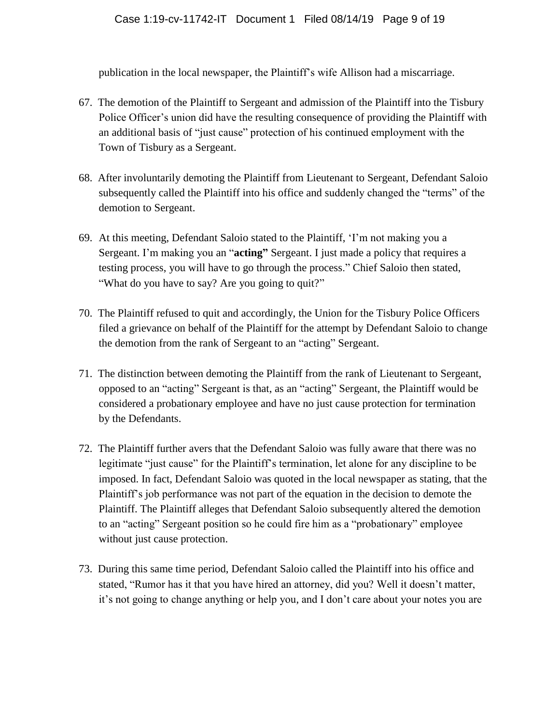publication in the local newspaper, the Plaintiff's wife Allison had a miscarriage.

- 67. The demotion of the Plaintiff to Sergeant and admission of the Plaintiff into the Tisbury Police Officer's union did have the resulting consequence of providing the Plaintiff with an additional basis of "just cause" protection of his continued employment with the Town of Tisbury as a Sergeant.
- 68. After involuntarily demoting the Plaintiff from Lieutenant to Sergeant, Defendant Saloio subsequently called the Plaintiff into his office and suddenly changed the "terms" of the demotion to Sergeant.
- 69. At this meeting, Defendant Saloio stated to the Plaintiff, 'I'm not making you a Sergeant. I'm making you an "**acting"** Sergeant. I just made a policy that requires a testing process, you will have to go through the process." Chief Saloio then stated, "What do you have to say? Are you going to quit?"
- 70. The Plaintiff refused to quit and accordingly, the Union for the Tisbury Police Officers filed a grievance on behalf of the Plaintiff for the attempt by Defendant Saloio to change the demotion from the rank of Sergeant to an "acting" Sergeant.
- 71. The distinction between demoting the Plaintiff from the rank of Lieutenant to Sergeant, opposed to an "acting" Sergeant is that, as an "acting" Sergeant, the Plaintiff would be considered a probationary employee and have no just cause protection for termination by the Defendants.
- 72. The Plaintiff further avers that the Defendant Saloio was fully aware that there was no legitimate "just cause" for the Plaintiff's termination, let alone for any discipline to be imposed. In fact, Defendant Saloio was quoted in the local newspaper as stating, that the Plaintiff's job performance was not part of the equation in the decision to demote the Plaintiff. The Plaintiff alleges that Defendant Saloio subsequently altered the demotion to an "acting" Sergeant position so he could fire him as a "probationary" employee without just cause protection.
- 73. During this same time period, Defendant Saloio called the Plaintiff into his office and stated, "Rumor has it that you have hired an attorney, did you? Well it doesn't matter, it's not going to change anything or help you, and I don't care about your notes you are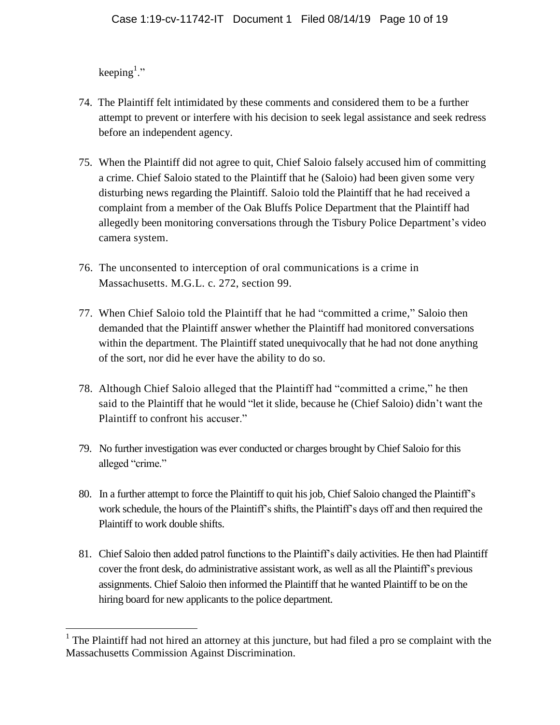keeping<sup>1</sup>."

 $\overline{a}$ 

- 74. The Plaintiff felt intimidated by these comments and considered them to be a further attempt to prevent or interfere with his decision to seek legal assistance and seek redress before an independent agency.
- 75. When the Plaintiff did not agree to quit, Chief Saloio falsely accused him of committing a crime. Chief Saloio stated to the Plaintiff that he (Saloio) had been given some very disturbing news regarding the Plaintiff. Saloio told the Plaintiff that he had received a complaint from a member of the Oak Bluffs Police Department that the Plaintiff had allegedly been monitoring conversations through the Tisbury Police Department's video camera system.
- 76. The unconsented to interception of oral communications is a crime in Massachusetts. M.G.L. c. 272, section 99.
- 77. When Chief Saloio told the Plaintiff that he had "committed a crime," Saloio then demanded that the Plaintiff answer whether the Plaintiff had monitored conversations within the department. The Plaintiff stated unequivocally that he had not done anything of the sort, nor did he ever have the ability to do so.
- 78. Although Chief Saloio alleged that the Plaintiff had "committed a crime," he then said to the Plaintiff that he would "let it slide, because he (Chief Saloio) didn't want the Plaintiff to confront his accuser."
- 79. No further investigation was ever conducted or charges brought by Chief Saloio for this alleged "crime."
- 80. In a further attempt to force the Plaintiff to quit his job, Chief Saloio changed the Plaintiff's work schedule, the hours of the Plaintiff's shifts, the Plaintiff's days off and then required the Plaintiff to work double shifts.
- 81. Chief Saloio then added patrol functions to the Plaintiff's daily activities. He then had Plaintiff cover the front desk, do administrative assistant work, as well as all the Plaintiff's previous assignments. Chief Saloio then informed the Plaintiff that he wanted Plaintiff to be on the hiring board for new applicants to the police department.

<sup>&</sup>lt;sup>1</sup> The Plaintiff had not hired an attorney at this juncture, but had filed a pro se complaint with the Massachusetts Commission Against Discrimination.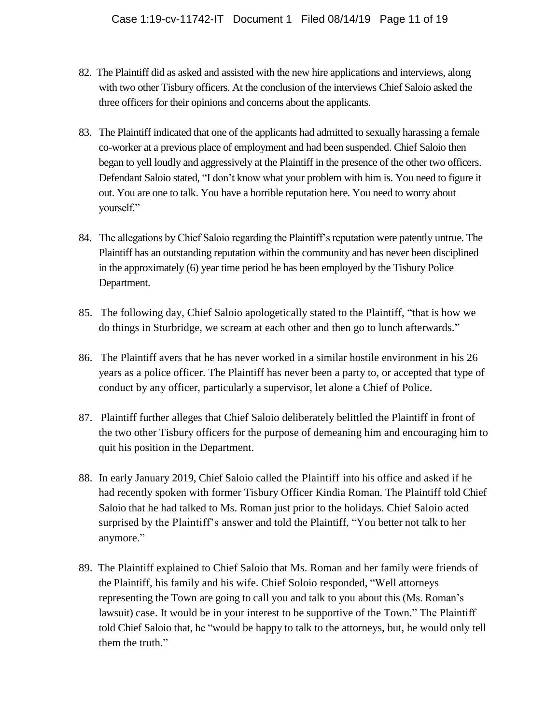- 82. The Plaintiff did as asked and assisted with the new hire applications and interviews, along with two other Tisbury officers. At the conclusion of the interviews Chief Saloio asked the three officers for their opinions and concerns about the applicants.
- 83. The Plaintiff indicated that one of the applicants had admitted to sexually harassing a female co-worker at a previous place of employment and had been suspended. Chief Saloio then began to yell loudly and aggressively at the Plaintiff in the presence of the other two officers. Defendant Saloio stated, "I don't know what your problem with him is. You need to figure it out. You are one to talk. You have a horrible reputation here. You need to worry about yourself."
- 84. The allegations by Chief Saloio regarding the Plaintiff's reputation were patently untrue. The Plaintiff has an outstanding reputation within the community and has never been disciplined in the approximately (6) year time period he has been employed by the Tisbury Police Department.
- 85. The following day, Chief Saloio apologetically stated to the Plaintiff, "that is how we do things in Sturbridge, we scream at each other and then go to lunch afterwards."
- 86. The Plaintiff avers that he has never worked in a similar hostile environment in his 26 years as a police officer. The Plaintiff has never been a party to, or accepted that type of conduct by any officer, particularly a supervisor, let alone a Chief of Police.
- 87. Plaintiff further alleges that Chief Saloio deliberately belittled the Plaintiff in front of the two other Tisbury officers for the purpose of demeaning him and encouraging him to quit his position in the Department.
- 88. In early January 2019, Chief Saloio called the Plaintiff into his office and asked if he had recently spoken with former Tisbury Officer Kindia Roman. The Plaintiff told Chief Saloio that he had talked to Ms. Roman just prior to the holidays. Chief Saloio acted surprised by the Plaintiff's answer and told the Plaintiff, "You better not talk to her anymore."
- 89. The Plaintiff explained to Chief Saloio that Ms. Roman and her family were friends of the Plaintiff, his family and his wife. Chief Soloio responded, "Well attorneys representing the Town are going to call you and talk to you about this (Ms. Roman's lawsuit) case. It would be in your interest to be supportive of the Town." The Plaintiff told Chief Saloio that, he "would be happy to talk to the attorneys, but, he would only tell them the truth."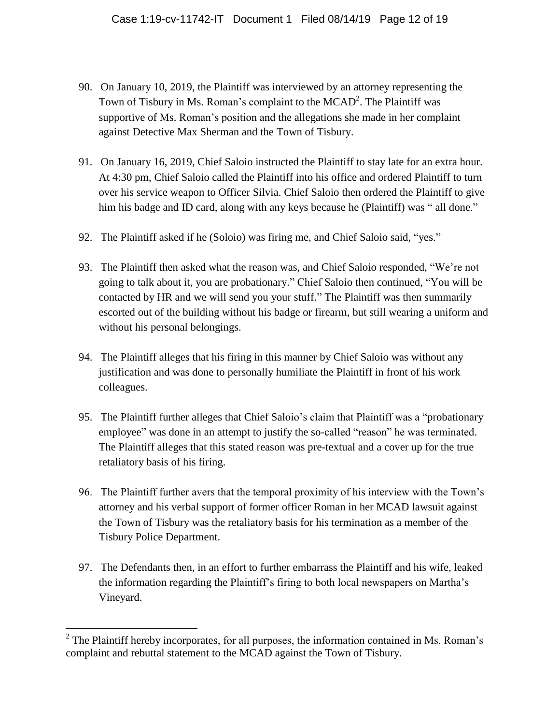- 90. On January 10, 2019, the Plaintiff was interviewed by an attorney representing the Town of Tisbury in Ms. Roman's complaint to the  $MCAD^2$ . The Plaintiff was supportive of Ms. Roman's position and the allegations she made in her complaint against Detective Max Sherman and the Town of Tisbury.
- 91. On January 16, 2019, Chief Saloio instructed the Plaintiff to stay late for an extra hour. At 4:30 pm, Chief Saloio called the Plaintiff into his office and ordered Plaintiff to turn over his service weapon to Officer Silvia. Chief Saloio then ordered the Plaintiff to give him his badge and ID card, along with any keys because he (Plaintiff) was " all done."
- 92. The Plaintiff asked if he (Soloio) was firing me, and Chief Saloio said, "yes."
- 93. The Plaintiff then asked what the reason was, and Chief Saloio responded, "We're not going to talk about it, you are probationary." Chief Saloio then continued, "You will be contacted by HR and we will send you your stuff." The Plaintiff was then summarily escorted out of the building without his badge or firearm, but still wearing a uniform and without his personal belongings.
- 94. The Plaintiff alleges that his firing in this manner by Chief Saloio was without any justification and was done to personally humiliate the Plaintiff in front of his work colleagues.
- 95. The Plaintiff further alleges that Chief Saloio's claim that Plaintiff was a "probationary employee" was done in an attempt to justify the so-called "reason" he was terminated. The Plaintiff alleges that this stated reason was pre-textual and a cover up for the true retaliatory basis of his firing.
- 96. The Plaintiff further avers that the temporal proximity of his interview with the Town's attorney and his verbal support of former officer Roman in her MCAD lawsuit against the Town of Tisbury was the retaliatory basis for his termination as a member of the Tisbury Police Department.
- 97. The Defendants then, in an effort to further embarrass the Plaintiff and his wife, leaked the information regarding the Plaintiff's firing to both local newspapers on Martha's Vineyard.

 $\overline{a}$ 

 $2^2$  The Plaintiff hereby incorporates, for all purposes, the information contained in Ms. Roman's complaint and rebuttal statement to the MCAD against the Town of Tisbury.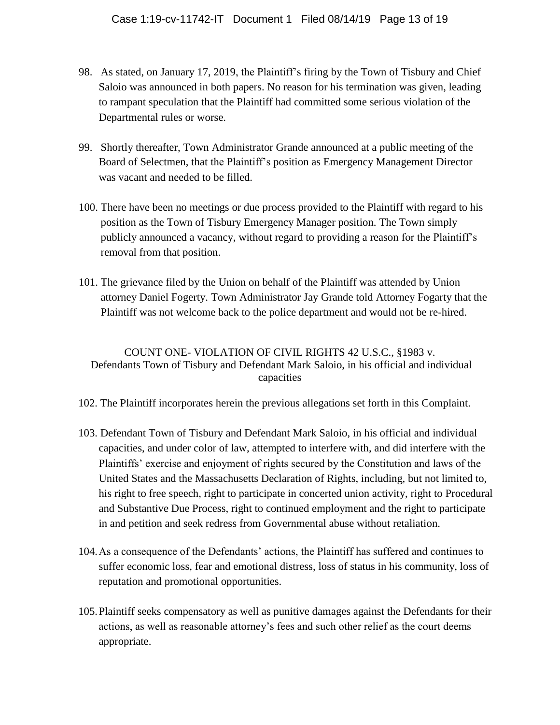- 98. As stated, on January 17, 2019, the Plaintiff's firing by the Town of Tisbury and Chief Saloio was announced in both papers. No reason for his termination was given, leading to rampant speculation that the Plaintiff had committed some serious violation of the Departmental rules or worse.
- 99. Shortly thereafter, Town Administrator Grande announced at a public meeting of the Board of Selectmen, that the Plaintiff's position as Emergency Management Director was vacant and needed to be filled.
- 100. There have been no meetings or due process provided to the Plaintiff with regard to his position as the Town of Tisbury Emergency Manager position. The Town simply publicly announced a vacancy, without regard to providing a reason for the Plaintiff's removal from that position.
- 101. The grievance filed by the Union on behalf of the Plaintiff was attended by Union attorney Daniel Fogerty. Town Administrator Jay Grande told Attorney Fogarty that the Plaintiff was not welcome back to the police department and would not be re-hired.

# COUNT ONE- VIOLATION OF CIVIL RIGHTS 42 U.S.C., §1983 v. Defendants Town of Tisbury and Defendant Mark Saloio, in his official and individual capacities

- 102. The Plaintiff incorporates herein the previous allegations set forth in this Complaint.
- 103. Defendant Town of Tisbury and Defendant Mark Saloio, in his official and individual capacities, and under color of law, attempted to interfere with, and did interfere with the Plaintiffs' exercise and enjoyment of rights secured by the Constitution and laws of the United States and the Massachusetts Declaration of Rights, including, but not limited to, his right to free speech, right to participate in concerted union activity, right to Procedural and Substantive Due Process, right to continued employment and the right to participate in and petition and seek redress from Governmental abuse without retaliation.
- 104.As a consequence of the Defendants' actions, the Plaintiff has suffered and continues to suffer economic loss, fear and emotional distress, loss of status in his community, loss of reputation and promotional opportunities.
- 105.Plaintiff seeks compensatory as well as punitive damages against the Defendants for their actions, as well as reasonable attorney's fees and such other relief as the court deems appropriate.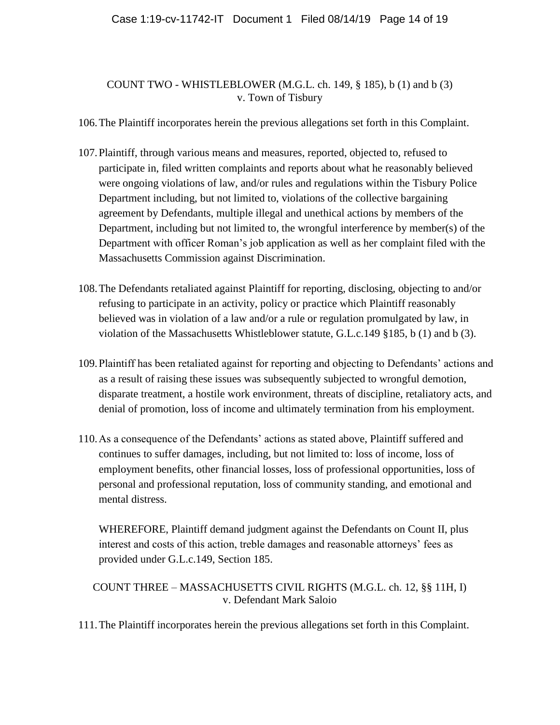### COUNT TWO - WHISTLEBLOWER (M.G.L. ch. 149, § 185), b (1) and b (3) v. Town of Tisbury

106.The Plaintiff incorporates herein the previous allegations set forth in this Complaint.

- 107.Plaintiff, through various means and measures, reported, objected to, refused to participate in, filed written complaints and reports about what he reasonably believed were ongoing violations of law, and/or rules and regulations within the Tisbury Police Department including, but not limited to, violations of the collective bargaining agreement by Defendants, multiple illegal and unethical actions by members of the Department, including but not limited to, the wrongful interference by member(s) of the Department with officer Roman's job application as well as her complaint filed with the Massachusetts Commission against Discrimination.
- 108.The Defendants retaliated against Plaintiff for reporting, disclosing, objecting to and/or refusing to participate in an activity, policy or practice which Plaintiff reasonably believed was in violation of a law and/or a rule or regulation promulgated by law, in violation of the Massachusetts Whistleblower statute, G.L.c.149 §185, b (1) and b (3).
- 109.Plaintiff has been retaliated against for reporting and objecting to Defendants' actions and as a result of raising these issues was subsequently subjected to wrongful demotion, disparate treatment, a hostile work environment, threats of discipline, retaliatory acts, and denial of promotion, loss of income and ultimately termination from his employment.
- 110.As a consequence of the Defendants' actions as stated above, Plaintiff suffered and continues to suffer damages, including, but not limited to: loss of income, loss of employment benefits, other financial losses, loss of professional opportunities, loss of personal and professional reputation, loss of community standing, and emotional and mental distress.

WHEREFORE, Plaintiff demand judgment against the Defendants on Count II, plus interest and costs of this action, treble damages and reasonable attorneys' fees as provided under G.L.c.149, Section 185.

COUNT THREE – MASSACHUSETTS CIVIL RIGHTS (M.G.L. ch. 12, §§ 11H, I) v. Defendant Mark Saloio

111.The Plaintiff incorporates herein the previous allegations set forth in this Complaint.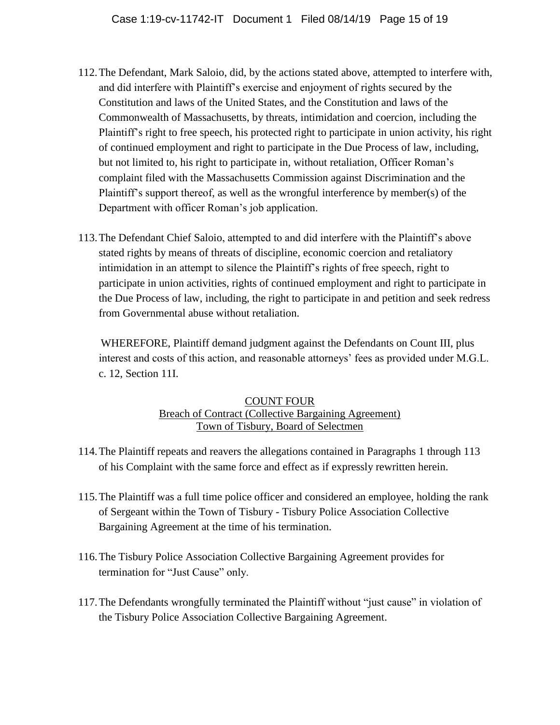- 112.The Defendant, Mark Saloio, did, by the actions stated above, attempted to interfere with, and did interfere with Plaintiff's exercise and enjoyment of rights secured by the Constitution and laws of the United States, and the Constitution and laws of the Commonwealth of Massachusetts, by threats, intimidation and coercion, including the Plaintiff's right to free speech, his protected right to participate in union activity, his right of continued employment and right to participate in the Due Process of law, including, but not limited to, his right to participate in, without retaliation, Officer Roman's complaint filed with the Massachusetts Commission against Discrimination and the Plaintiff's support thereof, as well as the wrongful interference by member(s) of the Department with officer Roman's job application.
- 113.The Defendant Chief Saloio, attempted to and did interfere with the Plaintiff's above stated rights by means of threats of discipline, economic coercion and retaliatory intimidation in an attempt to silence the Plaintiff's rights of free speech, right to participate in union activities, rights of continued employment and right to participate in the Due Process of law, including, the right to participate in and petition and seek redress from Governmental abuse without retaliation.

WHEREFORE, Plaintiff demand judgment against the Defendants on Count III, plus interest and costs of this action, and reasonable attorneys' fees as provided under M.G.L. c. 12, Section 11I.

#### COUNT FOUR Breach of Contract (Collective Bargaining Agreement) Town of Tisbury, Board of Selectmen

- 114.The Plaintiff repeats and reavers the allegations contained in Paragraphs 1 through 113 of his Complaint with the same force and effect as if expressly rewritten herein.
- 115.The Plaintiff was a full time police officer and considered an employee, holding the rank of Sergeant within the Town of Tisbury - Tisbury Police Association Collective Bargaining Agreement at the time of his termination.
- 116.The Tisbury Police Association Collective Bargaining Agreement provides for termination for "Just Cause" only.
- 117.The Defendants wrongfully terminated the Plaintiff without "just cause" in violation of the Tisbury Police Association Collective Bargaining Agreement.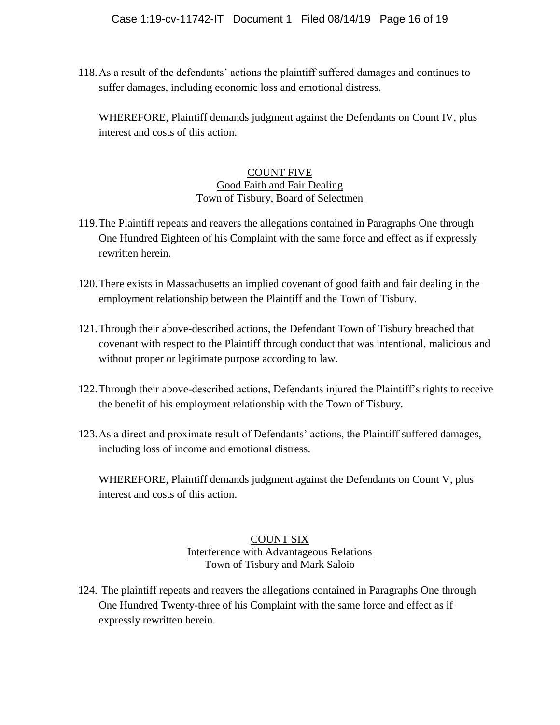118.As a result of the defendants' actions the plaintiff suffered damages and continues to suffer damages, including economic loss and emotional distress.

WHEREFORE, Plaintiff demands judgment against the Defendants on Count IV, plus interest and costs of this action.

#### COUNT FIVE Good Faith and Fair Dealing Town of Tisbury, Board of Selectmen

- 119.The Plaintiff repeats and reavers the allegations contained in Paragraphs One through One Hundred Eighteen of his Complaint with the same force and effect as if expressly rewritten herein.
- 120.There exists in Massachusetts an implied covenant of good faith and fair dealing in the employment relationship between the Plaintiff and the Town of Tisbury.
- 121.Through their above-described actions, the Defendant Town of Tisbury breached that covenant with respect to the Plaintiff through conduct that was intentional, malicious and without proper or legitimate purpose according to law.
- 122.Through their above-described actions, Defendants injured the Plaintiff's rights to receive the benefit of his employment relationship with the Town of Tisbury.
- 123.As a direct and proximate result of Defendants' actions, the Plaintiff suffered damages, including loss of income and emotional distress.

WHEREFORE, Plaintiff demands judgment against the Defendants on Count V, plus interest and costs of this action.

### COUNT SIX Interference with Advantageous Relations Town of Tisbury and Mark Saloio

124. The plaintiff repeats and reavers the allegations contained in Paragraphs One through One Hundred Twenty-three of his Complaint with the same force and effect as if expressly rewritten herein.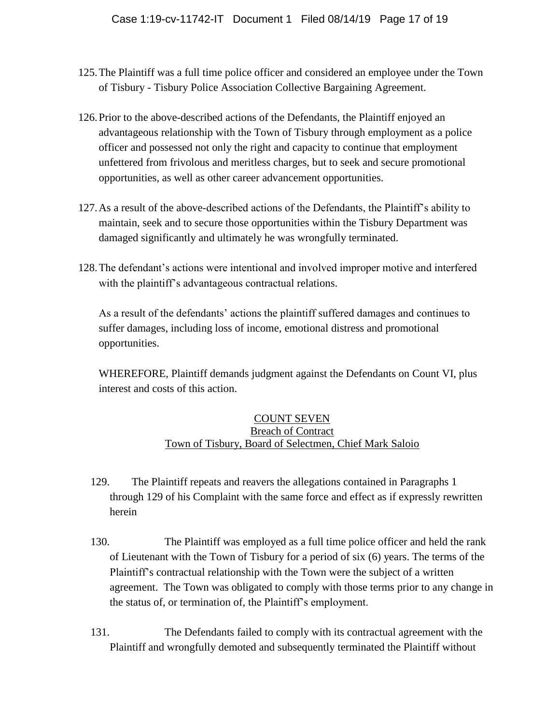- 125.The Plaintiff was a full time police officer and considered an employee under the Town of Tisbury - Tisbury Police Association Collective Bargaining Agreement.
- 126.Prior to the above-described actions of the Defendants, the Plaintiff enjoyed an advantageous relationship with the Town of Tisbury through employment as a police officer and possessed not only the right and capacity to continue that employment unfettered from frivolous and meritless charges, but to seek and secure promotional opportunities, as well as other career advancement opportunities.
- 127.As a result of the above-described actions of the Defendants, the Plaintiff's ability to maintain, seek and to secure those opportunities within the Tisbury Department was damaged significantly and ultimately he was wrongfully terminated.
- 128.The defendant's actions were intentional and involved improper motive and interfered with the plaintiff's advantageous contractual relations.

As a result of the defendants' actions the plaintiff suffered damages and continues to suffer damages, including loss of income, emotional distress and promotional opportunities.

WHEREFORE, Plaintiff demands judgment against the Defendants on Count VI, plus interest and costs of this action.

### COUNT SEVEN Breach of Contract Town of Tisbury, Board of Selectmen, Chief Mark Saloio

- 129. The Plaintiff repeats and reavers the allegations contained in Paragraphs 1 through 129 of his Complaint with the same force and effect as if expressly rewritten herein
- 130. The Plaintiff was employed as a full time police officer and held the rank of Lieutenant with the Town of Tisbury for a period of six (6) years. The terms of the Plaintiff's contractual relationship with the Town were the subject of a written agreement. The Town was obligated to comply with those terms prior to any change in the status of, or termination of, the Plaintiff's employment.
- 131. The Defendants failed to comply with its contractual agreement with the Plaintiff and wrongfully demoted and subsequently terminated the Plaintiff without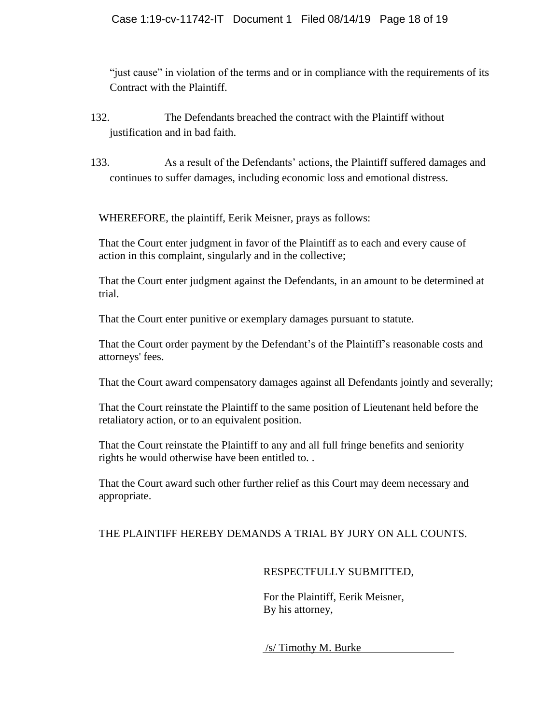"just cause" in violation of the terms and or in compliance with the requirements of its Contract with the Plaintiff.

- 132. The Defendants breached the contract with the Plaintiff without justification and in bad faith.
- 133. As a result of the Defendants' actions, the Plaintiff suffered damages and continues to suffer damages, including economic loss and emotional distress.

WHEREFORE, the plaintiff, Eerik Meisner, prays as follows:

That the Court enter judgment in favor of the Plaintiff as to each and every cause of action in this complaint, singularly and in the collective;

That the Court enter judgment against the Defendants, in an amount to be determined at trial.

That the Court enter punitive or exemplary damages pursuant to statute.

That the Court order payment by the Defendant's of the Plaintiff's reasonable costs and attorneys' fees.

That the Court award compensatory damages against all Defendants jointly and severally;

That the Court reinstate the Plaintiff to the same position of Lieutenant held before the retaliatory action, or to an equivalent position.

That the Court reinstate the Plaintiff to any and all full fringe benefits and seniority rights he would otherwise have been entitled to. .

That the Court award such other further relief as this Court may deem necessary and appropriate.

# THE PLAINTIFF HEREBY DEMANDS A TRIAL BY JURY ON ALL COUNTS.

# RESPECTFULLY SUBMITTED,

For the Plaintiff, Eerik Meisner, By his attorney,

/s/ Timothy M. Burke